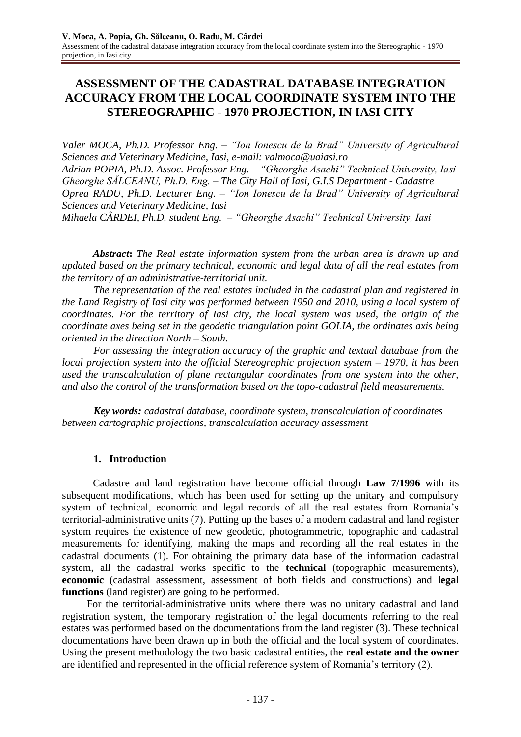# **ASSESSMENT OF THE CADASTRAL DATABASE INTEGRATION ACCURACY FROM THE LOCAL COORDINATE SYSTEM INTO THE STEREOGRAPHIC - 1970 PROJECTION, IN IASI CITY**

*Valer MOCA, Ph.D. Professor Eng. – "Ion Ionescu de la Brad" University of Agricultural Sciences and Veterinary Medicine, Iasi, e-mail: valmoca@uaiasi.ro Adrian POPIA, Ph.D. Assoc. Professor Eng. – "Gheorghe Asachi" Technical University, Iasi Gheorghe SĂLCEANU, Ph.D. Eng. – The City Hall of Iasi, G.I.S Department - Cadastre Oprea RADU, Ph.D. Lecturer Eng. – "Ion Ionescu de la Brad" University of Agricultural Sciences and Veterinary Medicine, Iasi*

*Mihaela CÂRDEI, Ph.D. student Eng. – "Gheorghe Asachi" Technical University, Iasi*

*Abstract***:** *The Real estate information system from the urban area is drawn up and updated based on the primary technical, economic and legal data of all the real estates from the territory of an administrative-territorial unit.*

*The representation of the real estates included in the cadastral plan and registered in the Land Registry of Iasi city was performed between 1950 and 2010, using a local system of coordinates. For the territory of Iasi city, the local system was used, the origin of the coordinate axes being set in the geodetic triangulation point GOLIA, the ordinates axis being oriented in the direction North – South.*

*For assessing the integration accuracy of the graphic and textual database from the local projection system into the official Stereographic projection system – 1970, it has been used the transcalculation of plane rectangular coordinates from one system into the other, and also the control of the transformation based on the topo-cadastral field measurements.*

*Key words: cadastral database, coordinate system, transcalculation of coordinates between cartographic projections, transcalculation accuracy assessment*

### **1. Introduction**

Cadastre and land registration have become official through **Law 7/1996** with its subsequent modifications, which has been used for setting up the unitary and compulsory system of technical, economic and legal records of all the real estates from Romania's territorial-administrative units (7). Putting up the bases of a modern cadastral and land register system requires the existence of new geodetic, photogrammetric, topographic and cadastral measurements for identifying, making the maps and recording all the real estates in the cadastral documents (1). For obtaining the primary data base of the information cadastral system, all the cadastral works specific to the **technical** (topographic measurements), **economic** (cadastral assessment, assessment of both fields and constructions) and **legal functions** (land register) are going to be performed.

For the territorial-administrative units where there was no unitary cadastral and land registration system, the temporary registration of the legal documents referring to the real estates was performed based on the documentations from the land register (3). These technical documentations have been drawn up in both the official and the local system of coordinates. Using the present methodology the two basic cadastral entities, the **real estate and the owner** are identified and represented in the official reference system of Romania's territory (2).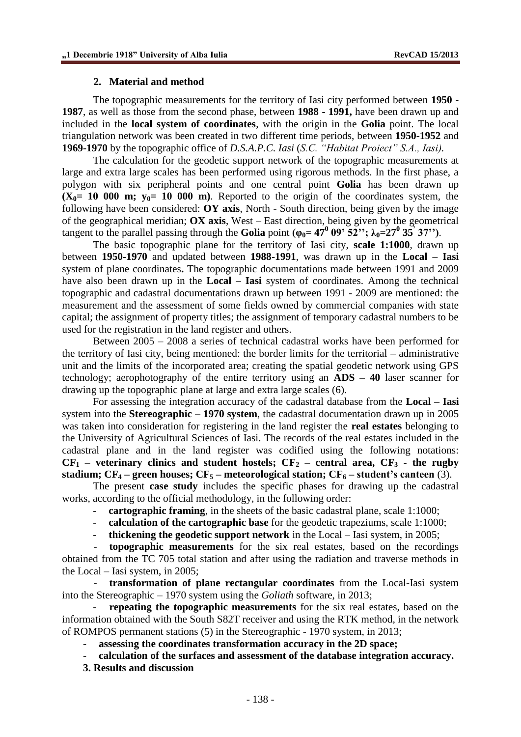#### **2. Material and method**

The topographic measurements for the territory of Iasi city performed between **1950 - 1987**, as well as those from the second phase, between **1988 - 1991,** have been drawn up and included in the **local system of coordinates**, with the origin in the **Golia** point. The local triangulation network was been created in two different time periods, between **1950-1952** and **1969-1970** by the topographic office of *D.S.A.P.C. Iasi* (*S.C. "Habitat Proiect" S.A., Iasi).*

The calculation for the geodetic support network of the topographic measurements at large and extra large scales has been performed using rigorous methods. In the first phase, a polygon with six peripheral points and one central point **Golia** has been drawn up  $(X_0 = 10\ 000\ \text{m};\ y_0 = 10\ 000\ \text{m})$ . Reported to the origin of the coordinates system, the following have been considered: **OY axis**, North - South direction, being given by the image of the geographical meridian; **OX axis**, West – East direction, being given by the geometrical tangent to the parallel passing through the Golia point  $(\varphi_0 = 47^0 \ 09^\circ \ 52^{\prime\prime}; \ \lambda_0 = 27^0 \ 35^\circ \ 37^{\prime\prime})$ .

The basic topographic plane for the territory of Iasi city, **scale 1:1000**, drawn up between **1950-1970** and updated between **1988-1991**, was drawn up in the **Local – Iasi** system of plane coordinates**.** The topographic documentations made between 1991 and 2009 have also been drawn up in the **Local – Iasi** system of coordinates. Among the technical topographic and cadastral documentations drawn up between 1991 - 2009 are mentioned: the measurement and the assessment of some fields owned by commercial companies with state capital; the assignment of property titles; the assignment of temporary cadastral numbers to be used for the registration in the land register and others.

Between 2005 – 2008 a series of technical cadastral works have been performed for the territory of Iasi city, being mentioned: the border limits for the territorial – administrative unit and the limits of the incorporated area; creating the spatial geodetic network using GPS technology; aerophotography of the entire territory using an **ADS – 40** laser scanner for drawing up the topographic plane at large and extra large scales (6).

For assessing the integration accuracy of the cadastral database from the **Local – Iasi** system into the **Stereographic – 1970 system**, the cadastral documentation drawn up in 2005 was taken into consideration for registering in the land register the **real estates** belonging to the University of Agricultural Sciences of Iasi. The records of the real estates included in the cadastral plane and in the land register was codified using the following notations:  $CF_1$  – **veterinary clinics and student hostels;**  $CF_2$  **– central area,**  $CF_3$  **- the rugby stadium; CF<sup>4</sup> – green houses; CF<sup>5</sup> – meteorological station; CF<sup>6</sup> – student's canteen** (3).

The present **case study** includes the specific phases for drawing up the cadastral works, according to the official methodology, in the following order:

- **cartographic framing**, in the sheets of the basic cadastral plane, scale 1:1000;
- **calculation of the cartographic base** for the geodetic trapeziums, scale 1:1000;
- **thickening the geodetic support network** in the Local Iasi system, in 2005;

- **topographic measurements** for the six real estates, based on the recordings obtained from the TC 705 total station and after using the radiation and traverse methods in the Local – Iasi system, in 2005;

- **transformation of plane rectangular coordinates** from the Local-Iasi system into the Stereographic – 1970 system using the *Goliath* software, in 2013;

**repeating the topographic measurements** for the six real estates, based on the information obtained with the South S82T receiver and using the RTK method, in the network of ROMPOS permanent stations (5) in the Stereographic - 1970 system, in 2013;

- **assessing the coordinates transformation accuracy in the 2D space;**
- **calculation of the surfaces and assessment of the database integration accuracy.**
- **3. Results and discussion**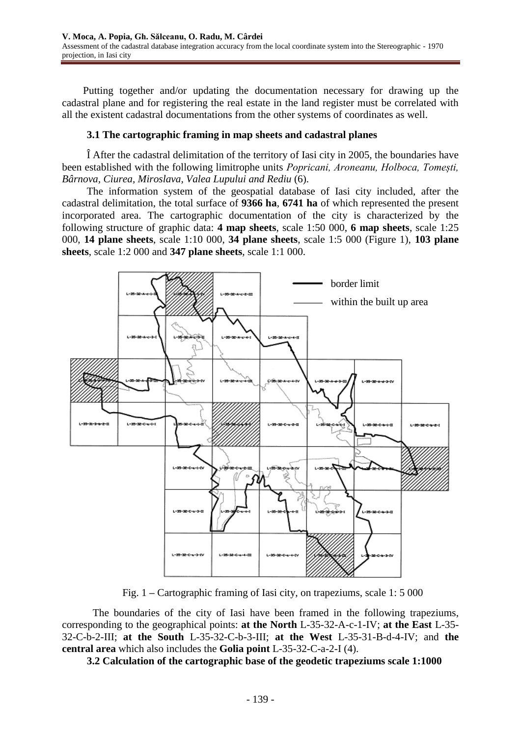Putting together and/or updating the documentation necessary for drawing up the cadastral plane and for registering the real estate in the land register must be correlated with all the existent cadastral documentations from the other systems of coordinates as well.

### **3.1 The cartographic framing in map sheets and cadastral planes**

Î After the cadastral delimitation of the territory of Iasi city in 2005, the boundaries have been established with the following limitrophe units *Popricani, Aroneanu, Holboca, Tomești, Bârnova, Ciurea, Miroslava, Valea Lupului and Rediu* (6).

The information system of the geospatial database of Iasi city included, after the cadastral delimitation, the total surface of **9366 ha**, **6741 ha** of which represented the present incorporated area. The cartographic documentation of the city is characterized by the following structure of graphic data: **4 map sheets**, scale 1:50 000, **6 map sheets**, scale 1:25 000, **14 plane sheets**, scale 1:10 000, **34 plane sheets**, scale 1:5 000 (Figure 1), **103 plane sheets**, scale 1:2 000 and **347 plane sheets**, scale 1:1 000.



Fig. 1 **–** Cartographic framing of Iasi city, on trapeziums, scale 1: 5 000

The boundaries of the city of Iasi have been framed in the following trapeziums, corresponding to the geographical points: **at the North** L-35-32-A-c-1-IV; **at the East** L-35- 32-C-b-2-III; **at the South** L-35-32-C-b-3-III; **at the West** L-35-31-B-d-4-IV; and **the central area** which also includes the **Golia point** L-35-32-C-a-2-I (4).

**3.2 Calculation of the cartographic base of the geodetic trapeziums scale 1:1000**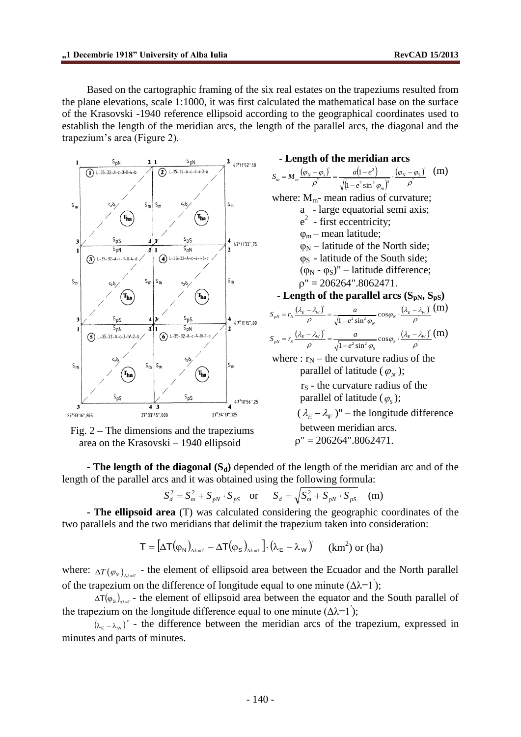Based on the cartographic framing of the six real estates on the trapeziums resulted from the plane elevations, scale 1:1000, it was first calculated the mathematical base on the surface of the Krasovski -1940 reference ellipsoid according to the geographical coordinates used to establish the length of the meridian arcs, the length of the parallel arcs, the diagonal and the trapezium's area (Figure 2).





**- Length of the meridian arcs**   $(\varphi_N - \varphi_s)$   $a(1-e^2)$  $(1-e^2\sin^2\varphi_m)$  $\frac{(\varphi_N - \varphi_S)}{n}$ "  $2 \sin^2 \varpi$   $\beta$ 2 " "  $1-e^2\sin^2$  $(1 \cdot$  $\rho$  $(\varphi_{_N}-\varphi_{_N})$  $\rho$   $\sqrt{(1-e^2\sin^2\varphi)}$  *N S m*  $\frac{M_m}{\rho} = M_m \frac{\left(\frac{\varphi_N}{\rho} - \frac{\varphi_s}{\rho}\right)}{\rho} = \frac{M_m}{\sqrt{\left(1-e^{-\frac{M_m}{\rho}}\right)}}$  $S_m = M_m \frac{(\varphi_N - \varphi_s)}{m} = \frac{a(1 - e^2)}{\sqrt{a(1 - e^2)}} \cdot \frac{(\varphi_N - e^2)}{m}$  $\overline{\phantom{0}}$  $=M_m\frac{(\varphi_N-\varphi_s)}{(\varphi_N-\varphi_s)}=\frac{a(1-e^2)}{(\varphi_N-\varphi_s)^2}$ .  $(\varphi_N-\varphi_s)^2$  (m) where:  $M_m$ - mean radius of curvature; a - large equatorial semi axis;  $e<sup>2</sup>$  - first eccentricity;  $\varphi_m$  – mean latitude;  $\varphi_N$  – latitude of the North side;  $\varphi$ <sub>S</sub> - latitude of the South side;  $(\varphi_N - \varphi_S)'$  – latitude difference;  $p'' = 206264$ ".8062471.  $\sim$  **Length of the parallel arcs (S<sub>pN</sub>, S<sub>pS</sub>)**  $\frac{(\lambda_E - \lambda_W)}{n} = \frac{a}{\sqrt{1 - \frac{a}{2} + \frac{b}{2}}} \cos \varphi_N \cdot \frac{(\lambda_E - \lambda_W)}{n}$ "  $\sqrt{1-a^2 \sin^2}$  $\int \frac{a}{\sqrt{1-e^2\sin^2\varphi_N}}\cos\varphi_N \cdot \frac{(\lambda_E - \lambda_E)}{\rho}$  $\frac{(1-\lambda_{W})}{\rho} = \frac{a}{\sqrt{1-e^2\sin^2\varphi_N}}\cos\varphi_N \cdot \frac{(\lambda_{E}-\lambda_{W})}{\rho},$  $\frac{\lambda_E - \lambda_W}{\rho} = \frac{a}{\sqrt{1 - e^2 \sin^2 \varphi_N}} \cos \varphi_N \cdot \frac{(\lambda_E - \lambda_W)}{\rho}$  $p_N = r_N \frac{(v_E - v_W)}{\rho} = \frac{1}{\sqrt{1 - e^2}}$  $S_{pN} = r_N \frac{(\lambda_E - \lambda_w)}{\rho^*} = \frac{a}{\sqrt{1 - e^2 \sin^2 \varphi_N}} \cos \varphi_N \cdot \frac{(\lambda_E - \lambda_w)}{\rho^*}$  (**m**)  $\frac{(\lambda_E - \lambda_W)}{n} = \frac{a}{\sqrt{1 - \frac{2}{n} \lambda_W^2}} \cos \varphi_s \cdot \frac{(\lambda_E - \lambda_W)}{n}$ "  $\sqrt{1 - a^2 \sin^2}$  $\frac{a}{c} = \frac{a}{\sqrt{a^2 + 2ac}} \cos \theta$  $1 - e^2 \sin^2 \varphi_s$   $\rho$  $\frac{(1-\lambda_{w})}{\rho} = \frac{a}{\sqrt{1-e^{2}\sin^{2}\varphi_{s}}}\cos\varphi_{s} \cdot \frac{(\lambda_{E}-\lambda_{w})}{\rho^{2}}$  $\frac{\lambda_E - \lambda_W}{\lambda_E} = \frac{a}{\sqrt{1 - \frac{a}{\lambda_E} + \frac{b}{\lambda_W}}} \cos \varphi_s \cdot \frac{(\lambda_E - \lambda_W)}{\lambda_W}$ *S*  $p_N = r_S \frac{(v_E - v_W)}{\rho^2} = \frac{Q}{\sqrt{1 - e^2}}$  $S_{nN} = r_S \frac{(\lambda_E - \lambda_W)}{r} = \frac{a}{\sqrt{r}} \cos \varphi_S \cdot \frac{(\lambda_E - \lambda_W)}{r}$  $-\epsilon$  $r_S = r_S \frac{(\lambda_E - \lambda_w)}{m} = \frac{a}{\sqrt{m_S m_S m_S}} \cos \varphi_S \cdot \frac{(\lambda_E - \lambda_w)}{m}$  (m) where :  $r_N$  – the curvature radius of the parallel of latitude  $(\varphi_N)$ ;  $r<sub>S</sub>$  - the curvature radius of the parallel of latitude  $(\varphi_s)$ ;  $(\lambda_E - \lambda_W)^n$  – the longitude difference between meridian arcs.

$$
\rho'' = 206264''.8062471.
$$

**- The length of the diagonal (Sd)** depended of the length of the meridian arc and of the length of the parallel arcs and it was obtained using the following formula:

$$
S_d^2 = S_m^2 + S_{pN} \cdot S_{pS} \quad \text{or} \quad S_d = \sqrt{S_m^2 + S_{pN} \cdot S_{pS}} \quad \text{(m)}
$$

**- The ellipsoid area** (T) was calculated considering the geographic coordinates of the two parallels and the two meridians that delimit the trapezium taken into consideration:

$$
T = [\Delta T(\varphi_N)_{\Delta \lambda = I'} - \Delta T(\varphi_S)_{\Delta \lambda = I'}] \cdot (\lambda_E - \lambda_W) \qquad (km^2) \text{ or (ha)}
$$

where:  $\Delta T(\varphi_N)_{\Delta \lambda = 1}$  - the element of ellipsoid area between the Ecuador and the North parallel of the trapezium on the difference of longitude equal to one minute  $(\Delta \lambda = 1)$ ;

 $\Delta T(\varphi_s)_{\Delta \lambda = I'}$  - the element of ellipsoid area between the equator and the South parallel of the trapezium on the longitude difference equal to one minute  $(\Delta \lambda = 1)$ ;

 $(\lambda_{\epsilon} - \lambda_{\rm w})'$  - the difference between the meridian arcs of the trapezium, expressed in minutes and parts of minutes.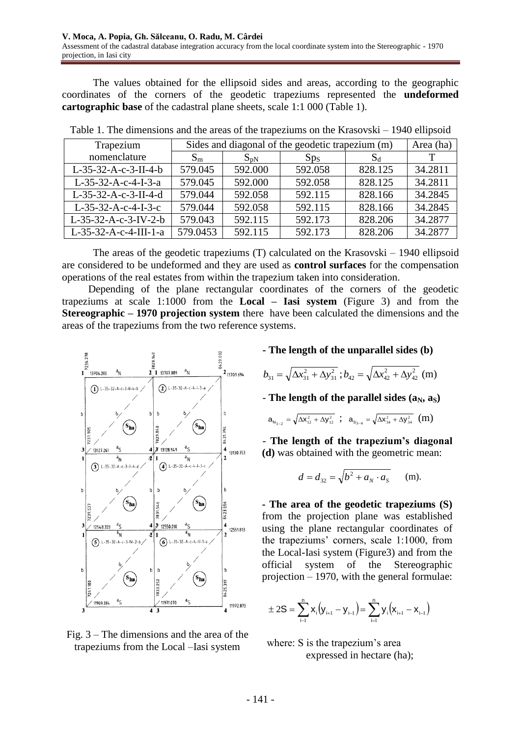The values obtained for the ellipsoid sides and areas, according to the geographic coordinates of the corners of the geodetic trapeziums represented the **undeformed cartographic base** of the cadastral plane sheets, scale 1:1 000 (Table 1).

| Trapezium               | Sides and diagonal of the geodetic trapezium (m) | Area (ha)       |                 |         |         |
|-------------------------|--------------------------------------------------|-----------------|-----------------|---------|---------|
| nomenclature            | $S_{\rm m}$                                      | $S_{\text{D}N}$ | Sp <sub>S</sub> | $S_d$   | T       |
| $L-35-32-A-c-3-II-4-b$  | 579.045                                          | 592.000         | 592.058         | 828.125 | 34.2811 |
| $L-35-32-A-c-4-I-3-a$   | 579.045                                          | 592.000         | 592.058         | 828.125 | 34.2811 |
| L-35-32-A-c-3-II-4-d    | 579.044                                          | 592.058         | 592.115         | 828.166 | 34.2845 |
| $L-35-32-A-c-4-I-3-c$   | 579.044                                          | 592.058         | 592.115         | 828.166 | 34.2845 |
| $L-35-32-A-c-3-IV-2-b$  | 579.043                                          | 592.115         | 592.173         | 828.206 | 34.2877 |
| $L-35-32-A-c-4-III-1-a$ | 579.0453                                         | 592.115         | 592.173         | 828.206 | 34.2877 |

Table 1. The dimensions and the areas of the trapeziums on the Krasovski – 1940 ellipsoid

The areas of the geodetic trapeziums (T) calculated on the Krasovski – 1940 ellipsoid are considered to be undeformed and they are used as **control surfaces** for the compensation operations of the real estates from within the trapezium taken into consideration.

Depending of the plane rectangular coordinates of the corners of the geodetic trapeziums at scale 1:1000 from the **Local – Iasi system** (Figure 3) and from the **Stereographic – 1970 projection system** there have been calculated the dimensions and the areas of the trapeziums from the two reference systems.





**- The length of the unparallel sides (b)**

$$
b_{31} = \sqrt{\Delta x_{31}^2 + \Delta y_{31}^2}
$$
;  $b_{42} = \sqrt{\Delta x_{42}^2 + \Delta y_{42}^2}$  (m)

 $-$  **The length of the parallel sides**  $(a_N, a_S)$ 

$$
\mathbf{a}_{N_{1-2}} = \sqrt{\Delta x_{12}^2 + \Delta y_{12}^2} \; ; \; \mathbf{a}_{S_{3-4}} = \sqrt{\Delta x_{34}^2 + \Delta y_{34}^2} \; (m)
$$

- **The length of the trapezium's diagonal (d)** was obtained with the geometric mean:

$$
d = d_{32} = \sqrt{b^2 + a_N \cdot a_S}
$$
 (m).

 **- The area of the geodetic trapeziums (S)**  from the projection plane was established using the plane rectangular coordinates of the trapeziums' corners, scale 1:1000, from the Local-Iasi system (Figure3) and from the official system of the Stereographic projection – 1970, with the general formulae:

$$
\pm 2S = \sum_{i=1}^{n} x_{i} (y_{i+1} - y_{i-1}) = \sum_{i=1}^{n} y_{i} (x_{i+1} - x_{i-1})
$$

where: S is the trapezium's area expressed in hectare (ha);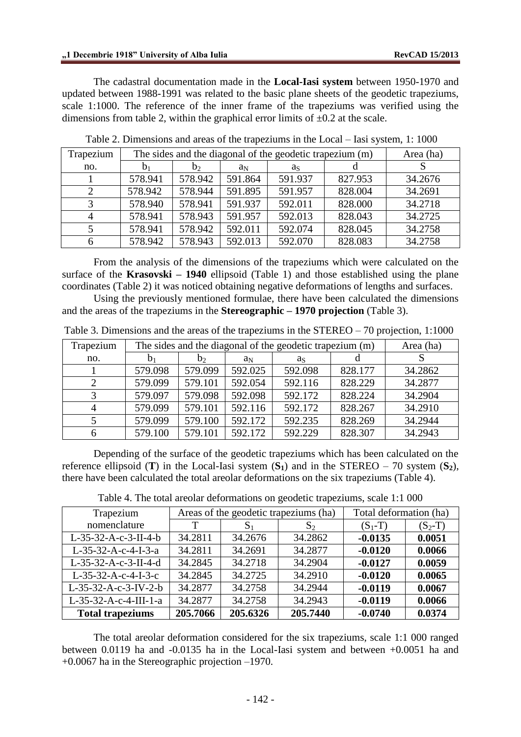The cadastral documentation made in the **Local-Iasi system** between 1950-1970 and updated between 1988-1991 was related to the basic plane sheets of the geodetic trapeziums, scale 1:1000. The reference of the inner frame of the trapeziums was verified using the dimensions from table 2, within the graphical error limits of  $\pm 0.2$  at the scale.

| Trapezium |         | The sides and the diagonal of the geodetic trapezium (m) |         |         |         |         |  |  |  |  |
|-----------|---------|----------------------------------------------------------|---------|---------|---------|---------|--|--|--|--|
| no.       | $D_1$   | b <sub>2</sub>                                           | aΝ      | as      |         |         |  |  |  |  |
|           | 578.941 | 578.942                                                  | 591.864 | 591.937 | 827.953 | 34.2676 |  |  |  |  |
|           | 578.942 | 578.944                                                  | 591.895 | 591.957 | 828.004 | 34.2691 |  |  |  |  |
|           | 578.940 | 578.941                                                  | 591.937 | 592.011 | 828.000 | 34.2718 |  |  |  |  |
|           | 578.941 | 578.943                                                  | 591.957 | 592.013 | 828.043 | 34.2725 |  |  |  |  |
|           | 578.941 | 578.942                                                  | 592.011 | 592.074 | 828.045 | 34.2758 |  |  |  |  |
| 6         | 578.942 | 578.943                                                  | 592.013 | 592.070 | 828.083 | 34.2758 |  |  |  |  |

Table 2. Dimensions and areas of the trapeziums in the Local – Iasi system, 1: 1000

From the analysis of the dimensions of the trapeziums which were calculated on the surface of the **Krasovski – 1940** ellipsoid (Table 1) and those established using the plane coordinates (Table 2) it was noticed obtaining negative deformations of lengths and surfaces.

Using the previously mentioned formulae, there have been calculated the dimensions and the areas of the trapeziums in the **Stereographic – 1970 projection** (Table 3).

| Trapezium |         | The sides and the diagonal of the geodetic trapezium (m) |         |         |         |         |  |  |  |  |  |
|-----------|---------|----------------------------------------------------------|---------|---------|---------|---------|--|--|--|--|--|
| no.       | $D_1$   | b <sub>2</sub>                                           | $a_N$   | as      |         |         |  |  |  |  |  |
|           | 579.098 | 579.099                                                  | 592.025 | 592.098 | 828.177 | 34.2862 |  |  |  |  |  |
|           | 579.099 | 579.101                                                  | 592.054 | 592.116 | 828.229 | 34.2877 |  |  |  |  |  |
|           | 579.097 | 579.098                                                  | 592.098 | 592.172 | 828.224 | 34.2904 |  |  |  |  |  |
|           | 579.099 | 579.101                                                  | 592.116 | 592.172 | 828.267 | 34.2910 |  |  |  |  |  |
|           | 579.099 | 579.100                                                  | 592.172 | 592.235 | 828.269 | 34.2944 |  |  |  |  |  |
|           | 579.100 | 579.101                                                  | 592.172 | 592.229 | 828.307 | 34.2943 |  |  |  |  |  |

Table 3. Dimensions and the areas of the trapeziums in the STEREO – 70 projection, 1:1000

Depending of the surface of the geodetic trapeziums which has been calculated on the reference ellipsoid (**T**) in the Local-Iasi system  $(S_1)$  and in the STEREO – 70 system  $(S_2)$ , there have been calculated the total areolar deformations on the six trapeziums (Table 4).

|  | Table 4. The total areolar deformations on geodetic trapeziums, scale 1:1 000 |  |  |
|--|-------------------------------------------------------------------------------|--|--|
|--|-------------------------------------------------------------------------------|--|--|

| Trapezium               |          | Areas of the geodetic trapeziums (ha) | Total deformation (ha) |           |           |
|-------------------------|----------|---------------------------------------|------------------------|-----------|-----------|
| nomenclature            | Т        | $S_2$<br>S <sub>1</sub>               |                        | $(S_1-T)$ | $(S_2-T)$ |
| L-35-32-A-c-3-II-4-b    | 34.2811  | 34.2676                               | 34.2862                | $-0.0135$ | 0.0051    |
| $L-35-32-A-c-4-I-3-a$   | 34.2811  | 34.2691                               | 34.2877                | $-0.0120$ | 0.0066    |
| L-35-32-A-c-3-II-4-d    | 34.2845  | 34.2718                               | 34.2904                | $-0.0127$ | 0.0059    |
| $L-35-32-A-c-4-I-3-c$   | 34.2845  | 34.2725                               | 34.2910                | $-0.0120$ | 0.0065    |
| L-35-32-A-c-3-IV-2-b    | 34.2877  | 34.2758                               | 34.2944                | $-0.0119$ | 0.0067    |
| L-35-32-A-c-4-III-1-a   | 34.2877  | 34.2758                               | 34.2943                | $-0.0119$ | 0.0066    |
| <b>Total trapeziums</b> | 205.7066 | 205.6326                              | 205.7440               | $-0.0740$ | 0.0374    |

The total areolar deformation considered for the six trapeziums, scale 1:1 000 ranged between 0.0119 ha and -0.0135 ha in the Local-Iasi system and between +0.0051 ha and +0.0067 ha in the Stereographic projection –1970.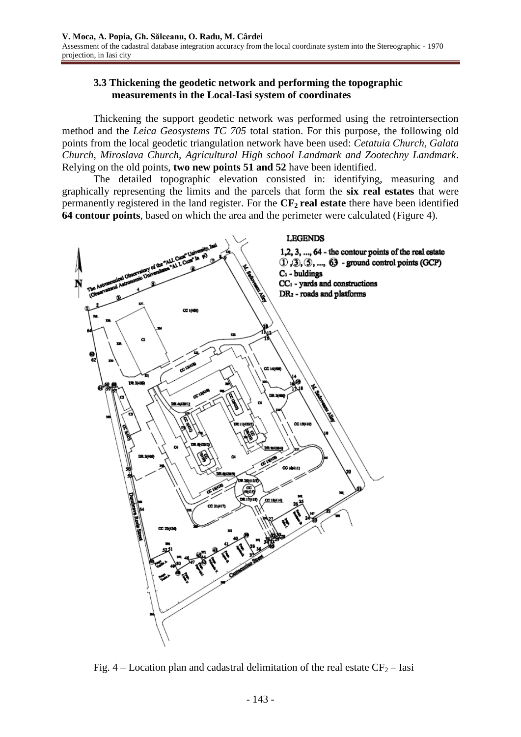## **3.3 Thickening the geodetic network and performing the topographic measurements in the Local-Iasi system of coordinates**

Thickening the support geodetic network was performed using the retrointersection method and the *Leica Geosystems TC 705* total station. For this purpose, the following old points from the local geodetic triangulation network have been used: *Cetatuia Church, Galata Church, Miroslava Church, Agricultural High school Landmark and Zootechny Landmark*. Relying on the old points, **two new points 51 and 52** have been identified.

The detailed topographic elevation consisted in: identifying, measuring and graphically representing the limits and the parcels that form the **six real estates** that were permanently registered in the land register. For the **CF2 real estate** there have been identified **64 contour points**, based on which the area and the perimeter were calculated (Figure 4).



Fig. 4 – Location plan and cadastral delimitation of the real estate  $CF_2$  – Iasi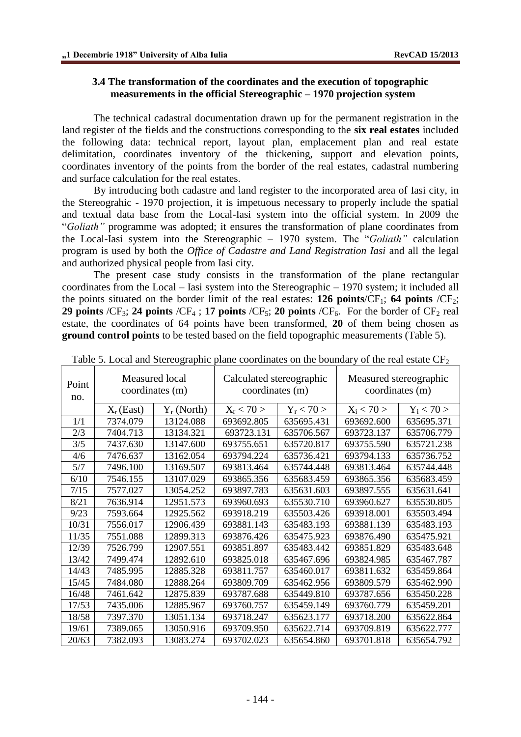### **3.4 The transformation of the coordinates and the execution of topographic measurements in the official Stereographic – 1970 projection system**

The technical cadastral documentation drawn up for the permanent registration in the land register of the fields and the constructions corresponding to the **six real estates** included the following data: technical report, layout plan, emplacement plan and real estate delimitation, coordinates inventory of the thickening, support and elevation points, coordinates inventory of the points from the border of the real estates, cadastral numbering and surface calculation for the real estates.

By introducing both cadastre and land register to the incorporated area of Iasi city, in the Stereograhic - 1970 projection, it is impetuous necessary to properly include the spatial and textual data base from the Local-Iasi system into the official system. In 2009 the "*Goliath"* programme was adopted; it ensures the transformation of plane coordinates from the Local-Iasi system into the Stereographic – 1970 system. The "*Goliath"* calculation program is used by both the *Office of Cadastre and Land Registration Iasi* and all the legal and authorized physical people from Iasi city.

The present case study consists in the transformation of the plane rectangular coordinates from the Local – Iasi system into the Stereographic – 1970 system; it included all the points situated on the border limit of the real estates: **126 points**/ $CF_1$ ; **64 points** / $CF_2$ ; **29 points**  $/CF_3$ ; **24 points**  $/CF_4$ ; **17 points**  $/CF_5$ ; **20 points**  $/CF_6$ . For the border of  $CF_2$  real estate, the coordinates of 64 points have been transformed, **20** of them being chosen as **ground control points** to be tested based on the field topographic measurements (Table 5).

| Point<br>no. | Measured local<br>coordinates (m) |               | Calculated stereographic<br>coordinates (m) |              | Measured stereographic<br>coordinates (m) |              |  |
|--------------|-----------------------------------|---------------|---------------------------------------------|--------------|-------------------------------------------|--------------|--|
|              | $X_r$ (East)                      | $Y_r$ (North) | $X_{\rm r}$ < 70 >                          | $Y_r < 70 >$ |                                           | $Y_i$ < 70 > |  |
| 1/1          | 7374.079                          | 13124.088     | 693692.805                                  | 635695.431   | 693692.600                                | 635695.371   |  |
| 2/3          | 7404.713                          | 13134.321     | 693723.131                                  | 635706.567   | 693723.137                                | 635706.779   |  |
| 3/5          | 7437.630                          | 13147.600     | 693755.651                                  | 635720.817   | 693755.590                                | 635721.238   |  |
| 4/6          | 7476.637                          | 13162.054     | 693794.224                                  | 635736.421   | 693794.133                                | 635736.752   |  |
| 5/7          | 7496.100                          | 13169.507     | 693813.464                                  | 635744.448   | 693813.464                                | 635744.448   |  |
| 6/10         | 7546.155                          | 13107.029     | 693865.356                                  | 635683.459   | 693865.356                                | 635683.459   |  |
| 7/15         | 7577.027                          | 13054.252     | 693897.783                                  | 635631.603   | 693897.555                                | 635631.641   |  |
| 8/21         | 7636.914                          | 12951.573     | 693960.693                                  | 635530.710   | 693960.627                                | 635530.805   |  |
| 9/23         | 7593.664                          | 12925.562     | 693918.219                                  | 635503.426   | 693918.001                                | 635503.494   |  |
| 10/31        | 7556.017                          | 12906.439     | 693881.143                                  | 635483.193   | 693881.139                                | 635483.193   |  |
| 11/35        | 7551.088                          | 12899.313     | 693876.426                                  | 635475.923   | 693876.490                                | 635475.921   |  |
| 12/39        | 7526.799                          | 12907.551     | 693851.897                                  | 635483.442   | 693851.829                                | 635483.648   |  |
| 13/42        | 7499.474                          | 12892.610     | 693825.018                                  | 635467.696   | 693824.985                                | 635467.787   |  |
| 14/43        | 7485.995                          | 12885.328     | 693811.757                                  | 635460.017   | 693811.632                                | 635459.864   |  |
| 15/45        | 7484.080                          | 12888.264     | 693809.709                                  | 635462.956   | 693809.579                                | 635462.990   |  |
| 16/48        | 7461.642                          | 12875.839     | 693787.688                                  | 635449.810   | 693787.656                                | 635450.228   |  |
| 17/53        | 7435.006                          | 12885.967     | 693760.757                                  | 635459.149   | 693760.779                                | 635459.201   |  |
| 18/58        | 7397.370                          | 13051.134     | 693718.247                                  | 635623.177   | 693718.200                                | 635622.864   |  |
| 19/61        | 7389.065                          | 13050.916     | 693709.950                                  | 635622.714   | 693709.819                                | 635622.777   |  |
| 20/63        | 7382.093                          | 13083.274     | 693702.023                                  | 635654.860   | 693701.818                                | 635654.792   |  |

#### Table 5. Local and Stereographic plane coordinates on the boundary of the real estate  $CF<sub>2</sub>$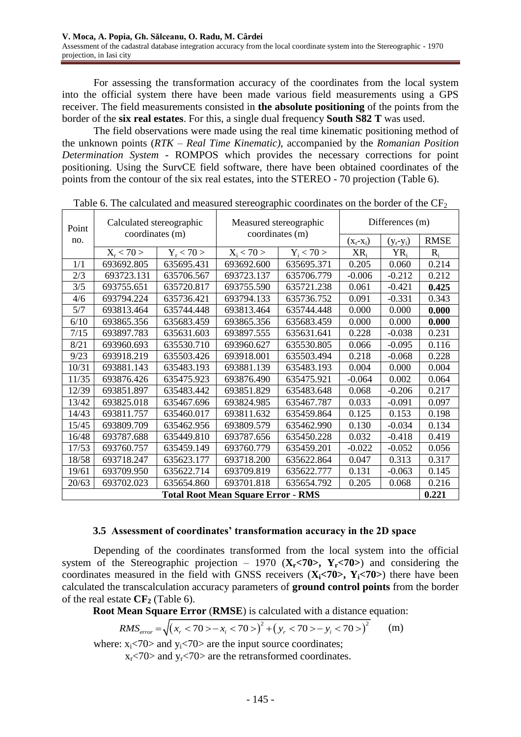For assessing the transformation accuracy of the coordinates from the local system into the official system there have been made various field measurements using a GPS receiver. The field measurements consisted in **the absolute positioning** of the points from the border of the **six real estates**. For this, a single dual frequency **South S82 T** was used.

The field observations were made using the real time kinematic positioning method of the unknown points (*RTK – Real Time Kinematic)*, accompanied by the *Romanian Position Determination System* - ROMPOS which provides the necessary corrections for point positioning. Using the SurvCE field software, there have been obtained coordinates of the points from the contour of the six real estates, into the STEREO - 70 projection (Table 6).

| Point | Calculated stereographic<br>coordinates (m) |                | Measured stereographic<br>coordinates (m) |              | Differences (m) |               |             |  |
|-------|---------------------------------------------|----------------|-------------------------------------------|--------------|-----------------|---------------|-------------|--|
| no.   |                                             |                |                                           |              | $(X_i-X_i)$     | $(y_r - y_i)$ | <b>RMSE</b> |  |
|       | $X_{\rm r}$ < 70 >                          | $Y_{r}$ < 70 > | $X_i < 70 >$                              | $Y_i < 70 >$ | $XR_i$          | $YR_i$        | $R_i$       |  |
| 1/1   | 693692.805                                  | 635695.431     | 693692.600                                | 635695.371   | 0.205           | 0.060         | 0.214       |  |
| 2/3   | 693723.131                                  | 635706.567     | 693723.137                                | 635706.779   | $-0.006$        | $-0.212$      | 0.212       |  |
| 3/5   | 693755.651                                  | 635720.817     | 693755.590                                | 635721.238   | 0.061           | $-0.421$      | 0.425       |  |
| 4/6   | 693794.224                                  | 635736.421     | 693794.133                                | 635736.752   | 0.091           | $-0.331$      | 0.343       |  |
| 5/7   | 693813.464                                  | 635744.448     | 693813.464                                | 635744.448   | 0.000           | 0.000         | 0.000       |  |
| 6/10  | 693865.356                                  | 635683.459     | 693865.356                                | 635683.459   | 0.000           | 0.000         | 0.000       |  |
| 7/15  | 693897.783                                  | 635631.603     | 693897.555                                | 635631.641   | 0.228           | $-0.038$      | 0.231       |  |
| 8/21  | 693960.693                                  | 635530.710     | 693960.627                                | 635530.805   | 0.066           | $-0.095$      | 0.116       |  |
| 9/23  | 693918.219                                  | 635503.426     | 693918.001                                | 635503.494   | 0.218           | $-0.068$      | 0.228       |  |
| 10/31 | 693881.143                                  | 635483.193     | 693881.139                                | 635483.193   | 0.004           | 0.000         | 0.004       |  |
| 11/35 | 693876.426                                  | 635475.923     | 693876.490                                | 635475.921   | $-0.064$        | 0.002         | 0.064       |  |
| 12/39 | 693851.897                                  | 635483.442     | 693851.829                                | 635483.648   | 0.068           | $-0.206$      | 0.217       |  |
| 13/42 | 693825.018                                  | 635467.696     | 693824.985                                | 635467.787   | 0.033           | $-0.091$      | 0.097       |  |
| 14/43 | 693811.757                                  | 635460.017     | 693811.632                                | 635459.864   | 0.125           | 0.153         | 0.198       |  |
| 15/45 | 693809.709                                  | 635462.956     | 693809.579                                | 635462.990   | 0.130           | $-0.034$      | 0.134       |  |
| 16/48 | 693787.688                                  | 635449.810     | 693787.656                                | 635450.228   | 0.032           | $-0.418$      | 0.419       |  |
| 17/53 | 693760.757                                  | 635459.149     | 693760.779                                | 635459.201   | $-0.022$        | $-0.052$      | 0.056       |  |
| 18/58 | 693718.247                                  | 635623.177     | 693718.200                                | 635622.864   | 0.047           | 0.313         | 0.317       |  |
| 19/61 | 693709.950                                  | 635622.714     | 693709.819                                | 635622.777   | 0.131           | $-0.063$      | 0.145       |  |
| 20/63 | 693702.023                                  | 635654.860     | 693701.818                                | 635654.792   | 0.205           | 0.068         | 0.216       |  |
|       |                                             |                | <b>Total Root Mean Square Error - RMS</b> |              |                 |               | 0.221       |  |

Table 6. The calculated and measured stereographic coordinates on the border of the  $CF<sub>2</sub>$ 

### **3.5 Assessment of coordinates' transformation accuracy in the 2D space**

Depending of the coordinates transformed from the local system into the official system of the Stereographic projection – 1970  $(X_r < 70)$ ,  $Y_r < 70$ ) and considering the coordinates measured in the field with GNSS receivers  $(X_i \le 70)$ ,  $Y_i \le 70$ ) there have been calculated the transcalculation accuracy parameters of **ground control points** from the border of the real estate **CF<sup>2</sup>** (Table 6).

**Root Mean Square Error** (**RMSE**) is calculated with a distance equation:

et transcalculation accuracy parameters of **ground control points** from  
tate **CF**<sub>2</sub> (Table 6).  
**Mean Square Error (RMSE)** is calculated with a distance equation:  

$$
RMS_{error} = \sqrt{(x_r < 70 > -x_i < 70 >)^2 + (y_r < 70 > -y_i < 70 >)^2}
$$
 (m)

where:  $x_i$ <70> and  $y_i$ <70> are the input source coordinates;

 $x_r$ <70> and  $y_r$ <70> are the retransformed coordinates.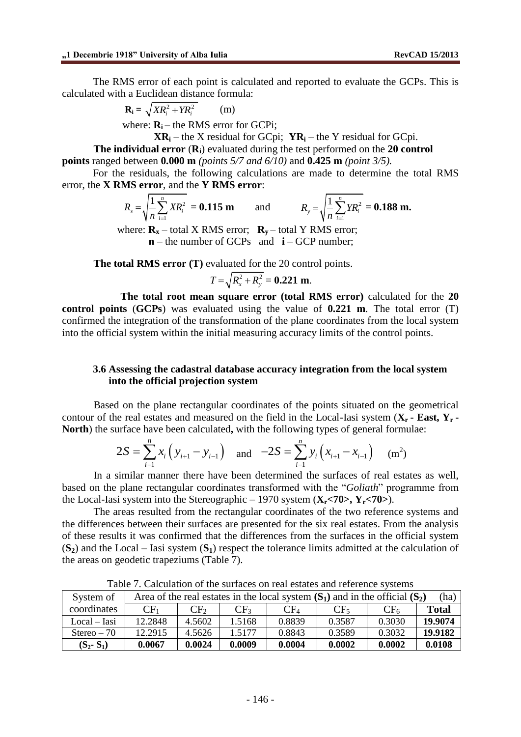The RMS error of each point is calculated and reported to evaluate the GCPs. This is ted with a Euclidean distance formula:<br>  $\mathbf{R}_i = \sqrt{XR_i^2 + YR_i^2}$  (m) calculated with a Euclidean distance formula:

$$
\mathbf{R}_{\mathbf{i}} = \sqrt{X R_i^2 + Y R_i^2} \qquad (m)
$$

where:  $\mathbf{R}_i$  – the RMS error for GCPi;

**XRi** – the X residual for GCpi;  $YR_i$  – the Y residual for GCpi.

**The individual error** (**Ri**) evaluated during the test performed on the **20 control points** ranged between **0.000 m** *(points 5/7 and 6/10)* and **0.425 m** *(point 3/5).*

For the residuals, the following calculations are made to determine the total RMS

error, the **X RMS error**, and the **Y RMS error**:  
\n
$$
R_x = \sqrt{\frac{1}{n} \sum_{i=1}^{n} X R_i^2} = 0.115 \text{ m} \text{ and } R_y = \sqrt{\frac{1}{n} \sum_{i=1}^{n} Y R_i^2} = 0.188 \text{ m}.
$$

where:  $\mathbf{R}_{\mathbf{x}}$  – total X RMS error;  $\mathbf{R}_{\mathbf{y}}$  – total Y RMS error; **n** – the number of GCPs and **i** – GCP number;

**The total RMS error (T)** evaluated for the 20 control points.

evaluated for the 20 contr  

$$
T = \sqrt{R_x^2 + R_y^2} = 0.221 \text{ m}.
$$

**The total root mean square error (total RMS error)** calculated for the **20 control points** (**GCPs**) was evaluated using the value of **0.221 m**. The total error (T) confirmed the integration of the transformation of the plane coordinates from the local system into the official system within the initial measuring accuracy limits of the control points.

### **3.6 Assessing the cadastral database accuracy integration from the local system into the official projection system**

Based on the plane rectangular coordinates of the points situated on the geometrical contour of the real estates and measured on the field in the Local-Iasi system ( $X_r$  **- East,**  $Y_r$  **-**<br>**North**) the surface have been calculated, with the following types of general formulae:<br> $2S = \sum_{i=1}^n x_i (y_{i+1} - y_{i-1})$ **North**) the surface have been calculated**,** with the following types of general formulae:

$$
2S = \sum_{i=1}^{n} x_i (y_{i+1} - y_{i-1})
$$
 and 
$$
-2S = \sum_{i=1}^{n} y_i (x_{i+1} - x_{i-1})
$$
 (m<sup>2</sup>)

In a similar manner there have been determined the surfaces of real estates as well, based on the plane rectangular coordinates transformed with the "*Goliath*" programme from the Local-Iasi system into the Stereographic – 1970 system  $(X_r < 70$ ,  $Y_r < 70$ ).

The areas resulted from the rectangular coordinates of the two reference systems and the differences between their surfaces are presented for the six real estates. From the analysis of these results it was confirmed that the differences from the surfaces in the official system  $(S_2)$  and the Local – Iasi system  $(S_1)$  respect the tolerance limits admitted at the calculation of the areas on geodetic trapeziums (Table 7).

| System of      |                 |          |                 | Area of the real estates in the local system $(S_1)$ and in the official $(S_2)$ |          |          | (ha)         |
|----------------|-----------------|----------|-----------------|----------------------------------------------------------------------------------|----------|----------|--------------|
| coordinates    | CF <sub>1</sub> | $CF_{2}$ | CF <sub>3</sub> | CF <sub>4</sub>                                                                  | $CF_{5}$ | $CF_{6}$ | <b>Total</b> |
| $Local - Iasi$ | 12.2848         | 4.5602   | 1.5168          | 0.8839                                                                           | 0.3587   | 0.3030   | 19.9074      |
| $Stereo - 70$  | 12.2915         | 4.5626   | 1.5177          | 0.8843                                                                           | 0.3589   | 0.3032   | 19.9182      |
| $(S_2-S_1)$    | 0.0067          | 0.0024   | 0.0009          | 0.0004                                                                           | 0.0002   | 0.0002   | 0.0108       |

Table 7. Calculation of the surfaces on real estates and reference systems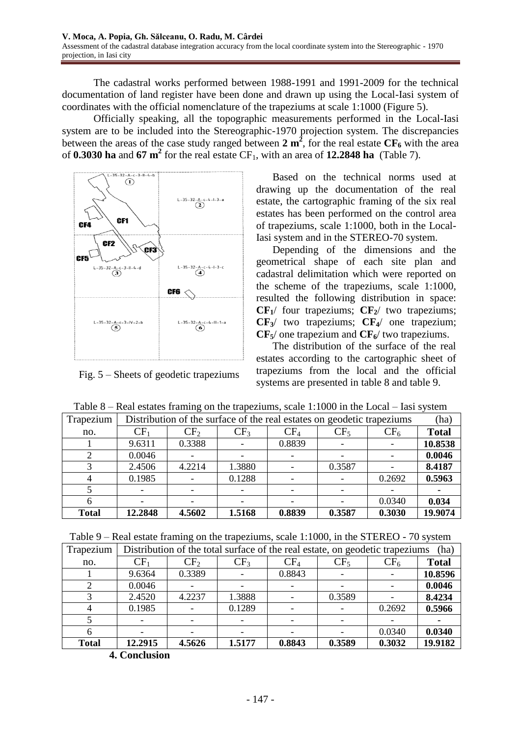The cadastral works performed between 1988-1991 and 1991-2009 for the technical documentation of land register have been done and drawn up using the Local-Iasi system of coordinates with the official nomenclature of the trapeziums at scale 1:1000 (Figure 5).

Officially speaking, all the topographic measurements performed in the Local-Iasi system are to be included into the Stereographic-1970 projection system. The discrepancies between the areas of the case study ranged between **2 m<sup>2</sup>** , for the real estate **CF<sup>6</sup>** with the area of **0.3030 ha** and  $67 \text{ m}^2$  for the real estate CF<sub>1</sub>, with an area of **12.2848 ha** (Table 7).



Fig. 5 – Sheets of geodetic trapeziums

Based on the technical norms used at drawing up the documentation of the real estate, the cartographic framing of the six real estates has been performed on the control area of trapeziums, scale 1:1000, both in the Local-Iasi system and in the STEREO-70 system.

Depending of the dimensions and the geometrical shape of each site plan and cadastral delimitation which were reported on the scheme of the trapeziums, scale 1:1000, resulted the following distribution in space:  $CF_1$ / four trapeziums;  $CF_2$ / two trapeziums; **CF3**/ two trapeziums; **CF4**/ one trapezium; **CF5**/ one trapezium and **CF6**/ two trapeziums.

The distribution of the surface of the real estates according to the cartographic sheet of trapeziums from the local and the official systems are presented in table 8 and table 9.

| Trapezium    | Distribution of the surface of the real estates on geodetic trapeziums |                 |                 |        |                 |                 |              |  |  |
|--------------|------------------------------------------------------------------------|-----------------|-----------------|--------|-----------------|-----------------|--------------|--|--|
| no.          | CF <sub>1</sub>                                                        | CF <sub>2</sub> | CF <sub>3</sub> | $CF_4$ | CF <sub>5</sub> | CF <sub>6</sub> | <b>Total</b> |  |  |
|              | 9.6311                                                                 | 0.3388          |                 | 0.8839 |                 |                 | 10.8538      |  |  |
|              | 0.0046                                                                 |                 |                 |        |                 |                 | 0.0046       |  |  |
|              | 2.4506                                                                 | 4.2214          | 1.3880          |        | 0.3587          |                 | 8.4187       |  |  |
|              | 0.1985                                                                 |                 | 0.1288          |        |                 | 0.2692          | 0.5963       |  |  |
|              |                                                                        |                 |                 |        |                 |                 |              |  |  |
|              |                                                                        |                 |                 |        |                 | 0.0340          | 0.034        |  |  |
| <b>Total</b> | 12.2848                                                                | 4.5602          | 1.5168          | 0.8839 | 0.3587          | 0.3030          | 19.9074      |  |  |

Table 8 – Real estates framing on the trapeziums, scale 1:1000 in the Local – Iasi system

|  |  |  |  |                                                                                                                                                                                                                                                                  |  | Table 9 – Real estate framing on the trapeziums, scale 1:1000, in the STEREO - 70 system |  |
|--|--|--|--|------------------------------------------------------------------------------------------------------------------------------------------------------------------------------------------------------------------------------------------------------------------|--|------------------------------------------------------------------------------------------|--|
|  |  |  |  | $\mathbf{N}$ . The set of the set of $\mathbf{N}$ is the set of the set of $\mathbf{N}$ is the set of $\mathbf{N}$ is the set of $\mathbf{N}$ is the set of $\mathbf{N}$ is the set of $\mathbf{N}$ is the set of $\mathbf{N}$ is the set of $\mathbf{N}$ is the |  |                                                                                          |  |

| Trapezium    |                 | Distribution of the total surface of the real estate, on geodetic trapeziums<br>(ha) |                 |        |                 |                 |              |  |  |  |  |
|--------------|-----------------|--------------------------------------------------------------------------------------|-----------------|--------|-----------------|-----------------|--------------|--|--|--|--|
| no.          | CF <sub>1</sub> | CF <sub>2</sub>                                                                      | CF <sub>3</sub> | $CF_4$ | CF <sub>5</sub> | CF <sub>6</sub> | <b>Total</b> |  |  |  |  |
|              | 9.6364          | 0.3389                                                                               |                 | 0.8843 |                 |                 | 10.8596      |  |  |  |  |
|              | 0.0046          |                                                                                      |                 |        |                 |                 | 0.0046       |  |  |  |  |
|              | 2.4520          | 4.2237                                                                               | 1.3888          |        | 0.3589          |                 | 8.4234       |  |  |  |  |
|              | 0.1985          |                                                                                      | 0.1289          |        |                 | 0.2692          | 0.5966       |  |  |  |  |
|              |                 |                                                                                      |                 |        |                 |                 |              |  |  |  |  |
|              |                 |                                                                                      |                 |        |                 | 0.0340          | 0.0340       |  |  |  |  |
| <b>Total</b> | 12.2915         | 4.5626                                                                               | 1.5177          | 0.8843 | 0.3589          | 0.3032          | 19.9182      |  |  |  |  |

**<sup>4.</sup> Conclusion**